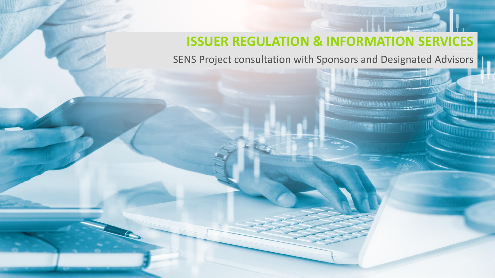# **ISSUER REGULATION & INFORMATION SERVICES**

SENS Project consultation with Sponsors and Designated Advisors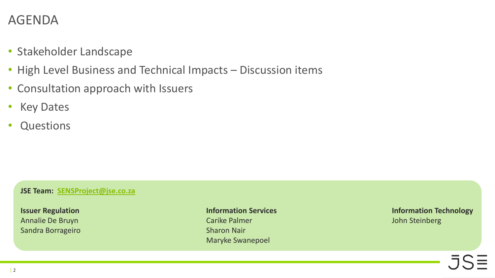#### AGENDA

- Stakeholder Landscape
- High Level Business and Technical Impacts Discussion items
- Consultation approach with Issuers
- Key Dates
- **Questions**

#### **JSE Team: [SENSProject@jse.co.za](mailto:SENSProject@jse.co.za)**

Sandra Borrageiro **Sharon Nair** Sharon Nair

Annalie De Bruyn Carike Palmer Carike Palmer Carike Palmer John Steinberg John Steinberg Maryke Swanepoel

**Issuer Regulation Information Services Information Technology**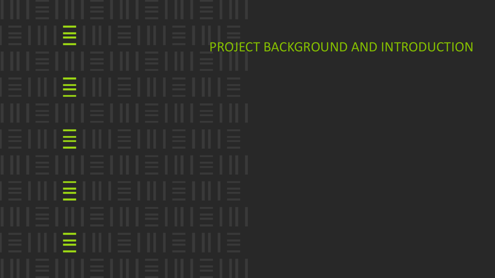$=$  1 PROJECT BACKGROUND AND INTRODUCTIONΞШ  $=$   $\Box$ ΞH IΞI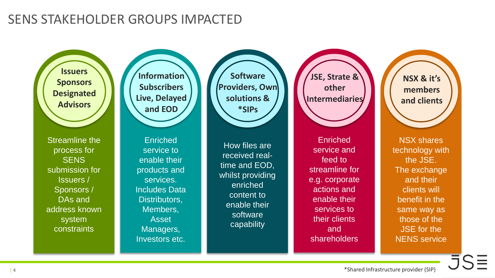#### SENS STAKEHOLDER GROUPS IMPACTED

**Issuers Sponsors Designated Advisors**

Streamline the process for **SENS** submission for Issuers / Sponsors / DAs and address known system constraints

**Information Subscribers Live, Delayed and EOD**

Enriched service to enable their products and services. Includes Data Distributors, Members, Asset Managers, Investors etc.

**Software Providers, Own solutions & \*SIPs**

How files are received realtime and EOD, whilst providing enriched content to enable their software capability

**JSE, Strate & other Intermediaries**

Enriched service and feed to streamline for e.g. corporate actions and enable their services to their clients and shareholders

**NSX & it's members and clients**

NSX shares technology with the JSE. The exchange and their clients will benefit in the same way as those of the JSE for the NENS service

 $\overline{\overline{\overline{J}}\overline{\overline{\overline{S}}}$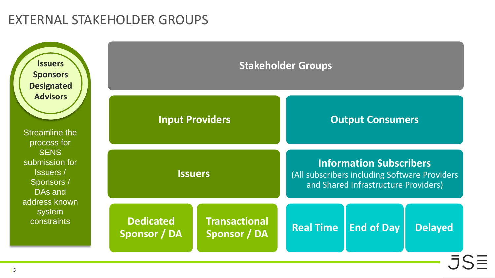#### EXTERNAL STAKEHOLDER GROUPS

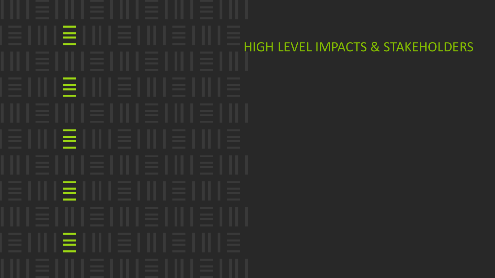EΠ HIGH LEVEL IMPACTS & STAKEHOLDERSEIII  $=$   $\Box$ EIII E.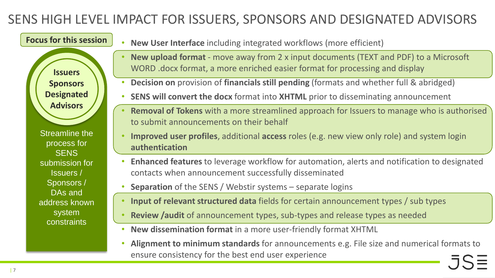**Issuers Sponsors Designated Advisors**

**Focus for this session**

- **New User Interface** including integrated workflows (more efficient)
- **New upload format**  move away from 2 x input documents (TEXT and PDF) to a Microsoft WORD .docx format, a more enriched easier format for processing and display
- **Decision on** provision of **financials still pending** (formats and whether full & abridged)
- **SENS will convert the docx** format into **XHTML** prior to disseminating announcement
- **Removal of Tokens** with a more streamlined approach for Issuers to manage who is authorised to submit announcements on their behalf
- **Improved user profiles**, additional **access** roles (e.g. new view only role) and system login **authentication**
- **Enhanced features** to leverage workflow for automation, alerts and notification to designated contacts when announcement successfully disseminated
- **Separation** of the SENS / Webstir systems separate logins
- **Input of relevant structured data** fields for certain announcement types / sub types
- **Review /audit** of announcement types, sub-types and release types as needed
- **New dissemination format** in a more user-friendly format XHTML
- **Alignment to minimum standards** for announcements e.g. File size and numerical formats to ensure consistency for the best end user experience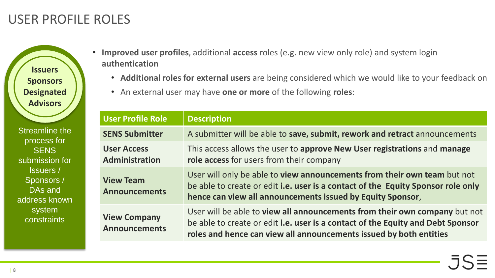## USER PROFILE ROLES

**Issuers Sponsors Designated Advisors**

- **Improved user profiles**, additional **access** roles (e.g. new view only role) and system login **authentication**
	- **Additional roles for external users** are being considered which we would like to your feedback on
	- An external user may have **one or more** of the following **roles**:

| <b>User Profile Role</b>                    | <b>Description</b>                                                                                                                                                                                                                  |  |
|---------------------------------------------|-------------------------------------------------------------------------------------------------------------------------------------------------------------------------------------------------------------------------------------|--|
| <b>SENS Submitter</b>                       | A submitter will be able to save, submit, rework and retract announcements                                                                                                                                                          |  |
| <b>User Access</b><br>Administration        | This access allows the user to approve New User registrations and manage<br>role access for users from their company                                                                                                                |  |
| <b>View Team</b><br><b>Announcements</b>    | User will only be able to view announcements from their own team but not<br>be able to create or edit i.e. user is a contact of the Equity Sponsor role only<br>hence can view all announcements issued by Equity Sponsor,          |  |
| <b>View Company</b><br><b>Announcements</b> | User will be able to view all announcements from their own company but not<br>be able to create or edit i.e. user is a contact of the Equity and Debt Sponsor<br>roles and hence can view all announcements issued by both entities |  |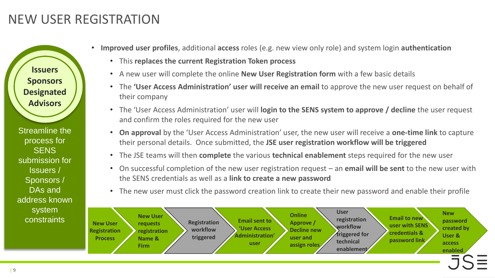## NEW USER REGISTRATION

**Issuers Sponsors Designated Advisors**

- **Improved user profiles**, additional **access** roles (e.g. new view only role) and system login **authentication**
	- This **replaces the current Registration Token process**
	- A new user will complete the online **New User Registration form** with a few basic details
	- The **'User Access Administration' user will receive an email** to approve the new user request on behalf of their company
	- The 'User Access Administration' user will **login to the SENS system to approve / decline** the user request and confirm the roles required for the new user
	- **On approval** by the 'User Access Administration' user, the new user will receive a **one-time link** to capture their personal details. Once submitted, the **JSE user registration workflow will be triggered**
	- The JSE teams will then **complete** the various **technical enablement** steps required for the new user
	- On successful completion of the new user registration request an **email will be sent** to the new user with the SENS credentials as well as a **link to create a new password**
	- The new user must click the password creation link to create their new password and enable their profile

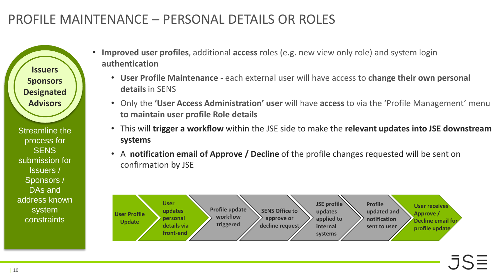# PROFILE MAINTENANCE – PERSONAL DETAILS OR ROLES

**Issuers Sponsors Designated Advisors**

- **Improved user profiles**, additional **access** roles (e.g. new view only role) and system login **authentication**
	- **User Profile Maintenance**  each external user will have access to **change their own personal details** in SENS
	- Only the **'User Access Administration' user** will have **access** to via the 'Profile Management' menu **to maintain user profile Role details**
	- This will **trigger a workflow** within the JSE side to make the **relevant updates into JSE downstream systems**
	- A **notification email of Approve / Decline** of the profile changes requested will be sent on confirmation by JSE

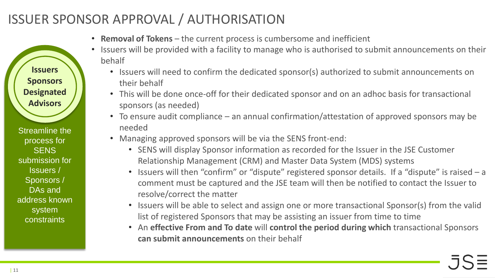# ISSUER SPONSOR APPROVAL / AUTHORISATION

- **Removal of Tokens** the current process is cumbersome and inefficient
- Issuers will be provided with a facility to manage who is authorised to submit announcements on their behalf
	- Issuers will need to confirm the dedicated sponsor(s) authorized to submit announcements on their behalf
	- This will be done once-off for their dedicated sponsor and on an adhoc basis for transactional sponsors (as needed)
	- To ensure audit compliance an annual confirmation/attestation of approved sponsors may be needed
	- Managing approved sponsors will be via the SENS front-end:
		- SENS will display Sponsor information as recorded for the Issuer in the JSE Customer Relationship Management (CRM) and Master Data System (MDS) systems
		- Issuers will then "confirm" or "dispute" registered sponsor details. If a "dispute" is raised a comment must be captured and the JSE team will then be notified to contact the Issuer to resolve/correct the matter
		- Issuers will be able to select and assign one or more transactional Sponsor(s) from the valid list of registered Sponsors that may be assisting an issuer from time to time
		- An **effective From and To date** will **control the period during which** transactional Sponsors **can submit announcements** on their behalf

Streamline the process for **SENS** submission for Issuers / Sponsors / DAs and address known system constraints

**Issuers**

**Sponsors**

**Designated** 

**Advisors**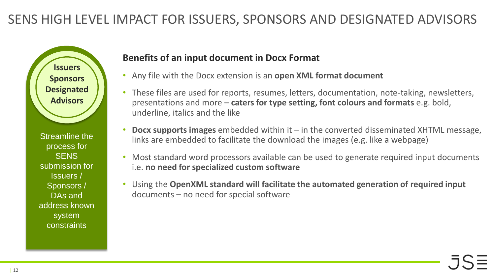

Streamline the process for **SENS** submission for Issuers / Sponsors / DAs and address known system constraints

#### **Benefits of an input document in Docx Format**

- Any file with the Docx extension is an **open XML format document**
- These files are used for reports, resumes, letters, documentation, note-taking, newsletters, presentations and more – **caters for type setting, font colours and formats** e.g. bold, underline, italics and the like
- **Docx supports images** embedded within it in the converted disseminated XHTML message, links are embedded to facilitate the download the images (e.g. like a webpage)
- Most standard word processors available can be used to generate required input documents i.e. **no need for specialized custom software**
- Using the **OpenXML standard will facilitate the automated generation of required input**  documents – no need for special software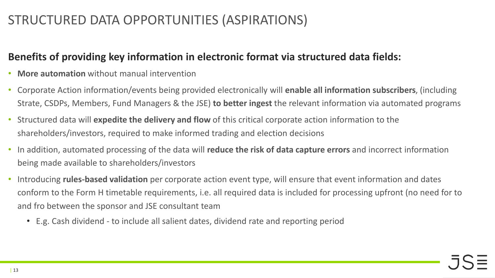## STRUCTURED DATA OPPORTUNITIES (ASPIRATIONS)

#### **Benefits of providing key information in electronic format via structured data fields:**

- **More automation** without manual intervention
- Corporate Action information/events being provided electronically will **enable all information subscribers**, (including Strate, CSDPs, Members, Fund Managers & the JSE) **to better ingest** the relevant information via automated programs
- Structured data will **expedite the delivery and flow** of this critical corporate action information to the shareholders/investors, required to make informed trading and election decisions
- In addition, automated processing of the data will **reduce the risk of data capture errors** and incorrect information being made available to shareholders/investors
- Introducing **rules-based validation** per corporate action event type, will ensure that event information and dates conform to the Form H timetable requirements, i.e. all required data is included for processing upfront (no need for to and fro between the sponsor and JSE consultant team
	- E.g. Cash dividend to include all salient dates, dividend rate and reporting period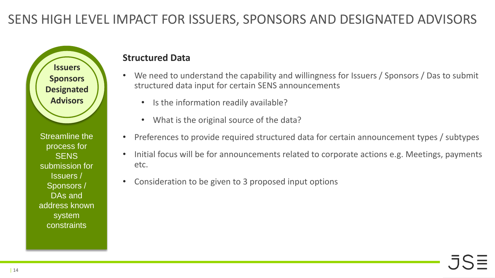**Issuers Sponsors Designated Advisors**

Streamline the process for **SENS** submission for Issuers / Sponsors / DAs and address known system constraints

#### **Structured Data**

- We need to understand the capability and willingness for Issuers / Sponsors / Das to submit structured data input for certain SENS announcements
	- Is the information readily available?
	- What is the original source of the data?
- Preferences to provide required structured data for certain announcement types / subtypes
- Initial focus will be for announcements related to corporate actions e.g. Meetings, payments etc.
- Consideration to be given to 3 proposed input options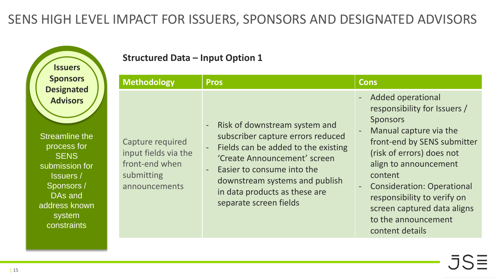**Issuers Sponsors Designated Advisors**

Streamline the process for **SENS** submission for Issuers / Sponsors / DAs and address known system constraints

#### **Structured Data – Input Option 1**

| <b>Methodology</b>                                                                        | <b>Pros</b>                                                                                                                                                                                                                                                            | <b>Cons</b>                                                                                                                                                                                                                                                                                                                                        |
|-------------------------------------------------------------------------------------------|------------------------------------------------------------------------------------------------------------------------------------------------------------------------------------------------------------------------------------------------------------------------|----------------------------------------------------------------------------------------------------------------------------------------------------------------------------------------------------------------------------------------------------------------------------------------------------------------------------------------------------|
| Capture required<br>input fields via the<br>front-end when<br>submitting<br>announcements | - Risk of downstream system and<br>subscriber capture errors reduced<br>Fields can be added to the existing<br>'Create Announcement' screen<br>Easier to consume into the<br>downstream systems and publish<br>in data products as these are<br>separate screen fields | <b>Added operational</b><br>responsibility for Issuers /<br><b>Sponsors</b><br>Manual capture via the<br>front-end by SENS submitter<br>(risk of errors) does not<br>align to announcement<br>content<br><b>Consideration: Operational</b><br>responsibility to verify on<br>screen captured data aligns<br>to the announcement<br>content details |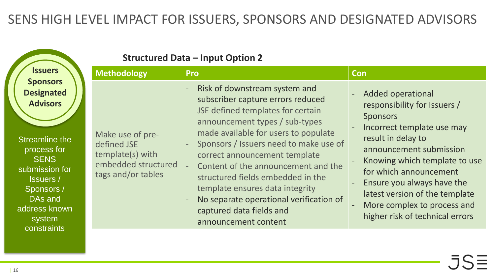|                                                                                                                                                                                                                  | <b>Structured Data - Input Option 2</b>                                                          |                                                                                                                                                                                                                                                                                                                                                                                                                                                                                                                                    |                                                                                                                                                                                                                                                                                                                                                         |  |  |  |  |
|------------------------------------------------------------------------------------------------------------------------------------------------------------------------------------------------------------------|--------------------------------------------------------------------------------------------------|------------------------------------------------------------------------------------------------------------------------------------------------------------------------------------------------------------------------------------------------------------------------------------------------------------------------------------------------------------------------------------------------------------------------------------------------------------------------------------------------------------------------------------|---------------------------------------------------------------------------------------------------------------------------------------------------------------------------------------------------------------------------------------------------------------------------------------------------------------------------------------------------------|--|--|--|--|
| <b>Issuers</b>                                                                                                                                                                                                   | <b>Methodology</b>                                                                               | <b>Pro</b>                                                                                                                                                                                                                                                                                                                                                                                                                                                                                                                         | Con                                                                                                                                                                                                                                                                                                                                                     |  |  |  |  |
| <b>Sponsors</b><br><b>Designated</b><br><b>Advisors</b><br>Streamline the<br>process for<br><b>SENS</b><br>submission for<br><b>Issuers</b> /<br>Sponsors /<br>DAs and<br>address known<br>system<br>constraints | Make use of pre-<br>defined JSE<br>template(s) with<br>embedded structured<br>tags and/or tables | Risk of downstream system and<br>subscriber capture errors reduced<br>JSE defined templates for certain<br>$\overline{\phantom{a}}$<br>announcement types / sub-types<br>made available for users to populate<br>Sponsors / Issuers need to make use of<br>correct announcement template<br>Content of the announcement and the<br>structured fields embedded in the<br>template ensures data integrity<br>No separate operational verification of<br>$\overline{\phantom{a}}$<br>captured data fields and<br>announcement content | <b>Added operational</b><br>responsibility for Issuers /<br><b>Sponsors</b><br>Incorrect template use may<br>result in delay to<br>announcement submission<br>Knowing which template to use<br>for which announcement<br>Ensure you always have the<br>latest version of the template<br>More complex to process and<br>higher risk of technical errors |  |  |  |  |
|                                                                                                                                                                                                                  |                                                                                                  |                                                                                                                                                                                                                                                                                                                                                                                                                                                                                                                                    |                                                                                                                                                                                                                                                                                                                                                         |  |  |  |  |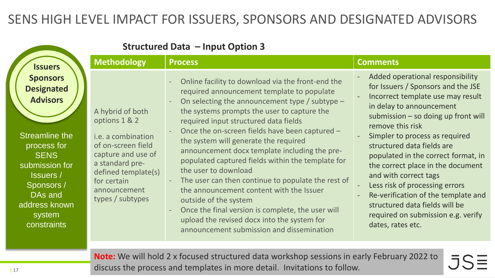| <b>Structured Data - Input Option 3</b>                                                                                                                                                                          |                                                                                                                                                                                                         |                                                                                                                                                                                                                                                                                                                                                                                                                                                                                                                                                                                                                                                                                                                                                  |                                                                                                                                                                                                                                                                                                                                                                                                                                                                                                                                               |  |  |  |  |
|------------------------------------------------------------------------------------------------------------------------------------------------------------------------------------------------------------------|---------------------------------------------------------------------------------------------------------------------------------------------------------------------------------------------------------|--------------------------------------------------------------------------------------------------------------------------------------------------------------------------------------------------------------------------------------------------------------------------------------------------------------------------------------------------------------------------------------------------------------------------------------------------------------------------------------------------------------------------------------------------------------------------------------------------------------------------------------------------------------------------------------------------------------------------------------------------|-----------------------------------------------------------------------------------------------------------------------------------------------------------------------------------------------------------------------------------------------------------------------------------------------------------------------------------------------------------------------------------------------------------------------------------------------------------------------------------------------------------------------------------------------|--|--|--|--|
| <b>Issuers</b>                                                                                                                                                                                                   | <b>Methodology</b>                                                                                                                                                                                      | <b>Process</b>                                                                                                                                                                                                                                                                                                                                                                                                                                                                                                                                                                                                                                                                                                                                   | <b>Comments</b>                                                                                                                                                                                                                                                                                                                                                                                                                                                                                                                               |  |  |  |  |
| <b>Sponsors</b><br><b>Designated</b><br><b>Advisors</b><br>Streamline the<br>process for<br><b>SENS</b><br>submission for<br><b>Issuers</b> /<br>Sponsors /<br>DAs and<br>address known<br>system<br>constraints | A hybrid of both<br>options 1 & 2<br><i>i.e.</i> a combination<br>of on-screen field<br>capture and use of<br>a standard pre-<br>defined template(s)<br>for certain<br>announcement<br>types / subtypes | Online facility to download via the front-end the<br>required announcement template to populate<br>On selecting the announcement type / subtype $-$<br>the systems prompts the user to capture the<br>required input structured data fields<br>Once the on-screen fields have been captured -<br>the system will generate the required<br>announcement docx template including the pre-<br>populated captured fields within the template for<br>the user to download<br>The user can then continue to populate the rest of<br>the announcement content with the Issuer<br>outside of the system<br>Once the final version is complete, the user will<br>upload the revised docx into the system for<br>announcement submission and dissemination | Added operational responsibility<br>for Issuers / Sponsors and the JSE<br>Incorrect template use may result<br>in delay to announcement<br>submission - so doing up front will<br>remove this risk<br>Simpler to process as required<br>structured data fields are<br>populated in the correct format, in<br>the correct place in the document<br>and with correct tags<br>Less risk of processing errors<br>Re-verification of the template and<br>structured data fields will be<br>required on submission e.g. verify<br>dates, rates etc. |  |  |  |  |
|                                                                                                                                                                                                                  |                                                                                                                                                                                                         |                                                                                                                                                                                                                                                                                                                                                                                                                                                                                                                                                                                                                                                                                                                                                  |                                                                                                                                                                                                                                                                                                                                                                                                                                                                                                                                               |  |  |  |  |

**Note:** We will hold 2 x focused structured data workshop sessions in early February 2022 to .5S discuss the process and templates in more detail. Invitations to follow.

 $=$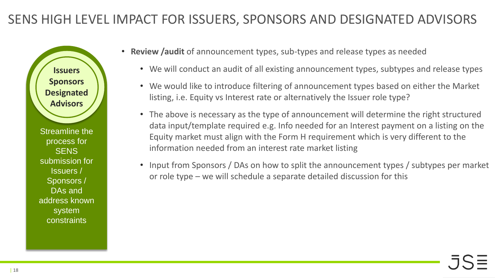**Issuers Sponsors Designated Advisors**

- **Review /audit** of announcement types, sub-types and release types as needed
	- We will conduct an audit of all existing announcement types, subtypes and release types
	- We would like to introduce filtering of announcement types based on either the Market listing, i.e. Equity vs Interest rate or alternatively the Issuer role type?
	- The above is necessary as the type of announcement will determine the right structured data input/template required e.g. Info needed for an Interest payment on a listing on the Equity market must align with the Form H requirement which is very different to the information needed from an interest rate market listing
	- Input from Sponsors / DAs on how to split the announcement types / subtypes per market or role type – we will schedule a separate detailed discussion for this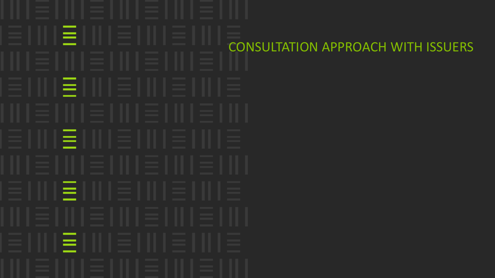lΞH CONSULTATION APPROACH WITH ISSUERSEIII EIII E IIII E III IΞI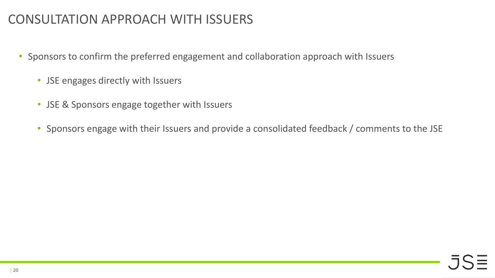### CONSULTATION APPROACH WITH ISSUERS

- Sponsors to confirm the preferred engagement and collaboration approach with Issuers
	- JSE engages directly with Issuers
	- JSE & Sponsors engage together with Issuers
	- Sponsors engage with their Issuers and provide a consolidated feedback / comments to the JSE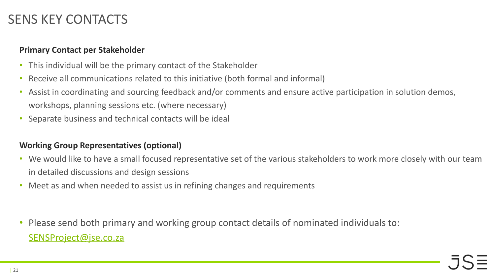#### SENS KEY CONTACTS

#### **Primary Contact per Stakeholder**

- This individual will be the primary contact of the Stakeholder
- Receive all communications related to this initiative (both formal and informal)
- Assist in coordinating and sourcing feedback and/or comments and ensure active participation in solution demos, workshops, planning sessions etc. (where necessary)
- Separate business and technical contacts will be ideal

#### **Working Group Representatives (optional)**

- We would like to have a small focused representative set of the various stakeholders to work more closely with our team in detailed discussions and design sessions
- Meet as and when needed to assist us in refining changes and requirements
- Please send both primary and working group contact details of nominated individuals to: [SENSProject@jse.co.za](mailto:SENSProject@jse.co.za)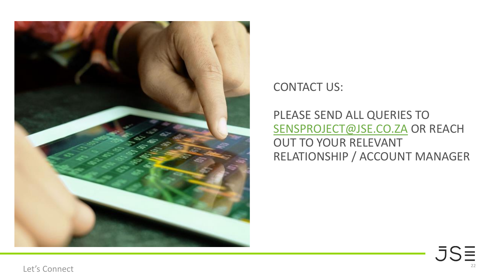

CONTACT US:

PLEASE SEND ALL QUERIES TO [SENSPROJECT@JSE.CO.ZA](mailto:SENSProject@jse.co.za) OR REACH OUT TO YOUR RELEVANT RELATIONSHIP / ACCOUNT MANAGER

> JSE 22

Let's Connect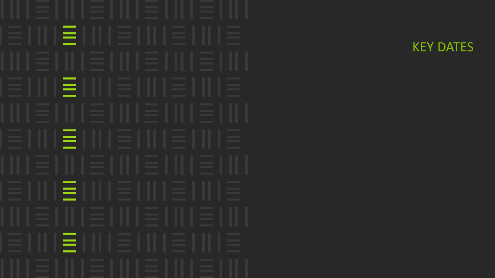E IIII E IIII E IIII E IIII E E I III E I III E I III E I III E E INTERNIE INTERNIE E INTERNIE INTERNIE E IIII E IIII E IIII E IIII E

KEY DATES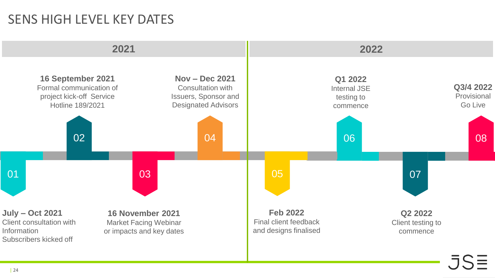#### SENS HIGH LEVEL KEY DATES

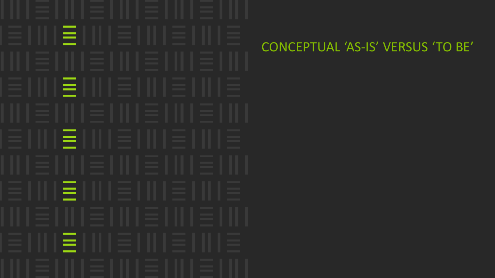EII = 111 = 111 = 111 = 111  $=$   $\mathbf{I}$ 

### CONCEPTUAL 'AS-IS' VERSUS 'TO BE'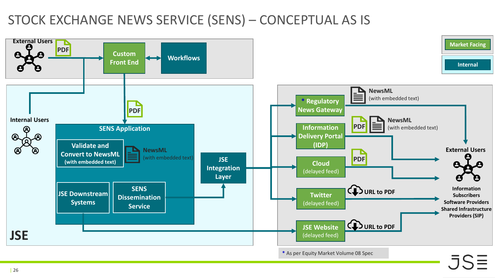# STOCK EXCHANGE NEWS SERVICE (SENS) – CONCEPTUAL AS IS

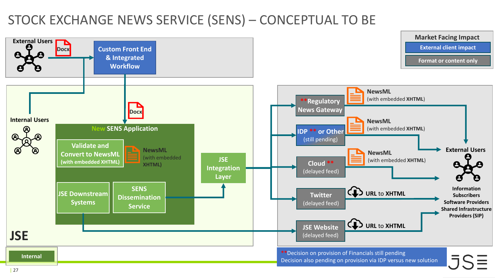# STOCK EXCHANGE NEWS SERVICE (SENS) – CONCEPTUAL TO BE

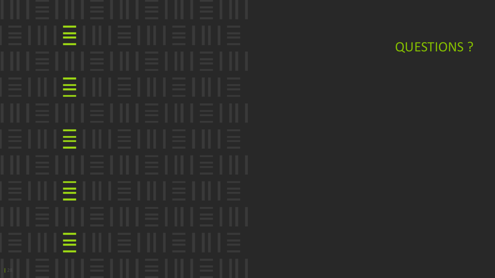E IIII E IIII E IIII E IIII E E I III E I III E I III E I III E E IIII E IIII E IIII E IIII E E IIII E IIII E IIII E IIII E E I III E I III E I III E I III E

QUESTIONS ?